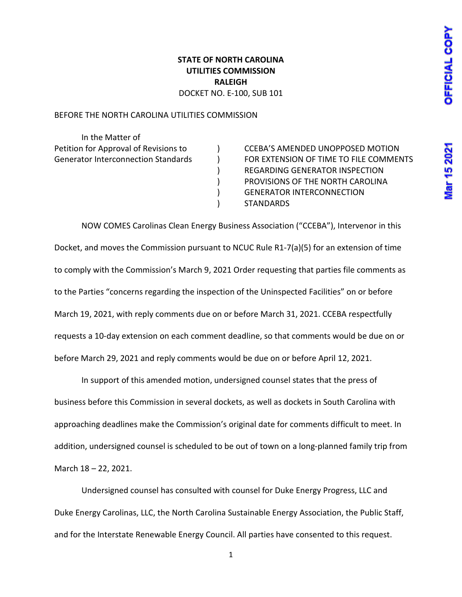## War 15 2021

## **STATE OF NORTH CAROLINA UTILITIES COMMISSION RALEIGH** DOCKET NO. E-100, SUB 101

BEFORE THE NORTH CAROLINA UTILITIES COMMISSION

In the Matter of

Petition for Approval of Revisions to ) CCEBA'S AMENDED UNOPPOSED MOTION Generator Interconnection Standards ) FOR EXTENSION OF TIME TO FILE COMMENTS ) REGARDING GENERATOR INSPECTION ) PROVISIONS OF THE NORTH CAROLINA ) GENERATOR INTERCONNECTION ) STANDARDS

NOW COMES Carolinas Clean Energy Business Association ("CCEBA"), Intervenor in this Docket, and moves the Commission pursuant to NCUC Rule R1-7(a)(5) for an extension of time to comply with the Commission's March 9, 2021 Order requesting that parties file comments as to the Parties "concerns regarding the inspection of the Uninspected Facilities" on or before March 19, 2021, with reply comments due on or before March 31, 2021. CCEBA respectfully requests a 10-day extension on each comment deadline, so that comments would be due on or before March 29, 2021 and reply comments would be due on or before April 12, 2021.

In support of this amended motion, undersigned counsel states that the press of business before this Commission in several dockets, as well as dockets in South Carolina with approaching deadlines make the Commission's original date for comments difficult to meet. In addition, undersigned counsel is scheduled to be out of town on a long-planned family trip from March 18 – 22, 2021.

Undersigned counsel has consulted with counsel for Duke Energy Progress, LLC and Duke Energy Carolinas, LLC, the North Carolina Sustainable Energy Association, the Public Staff, and for the Interstate Renewable Energy Council. All parties have consented to this request.